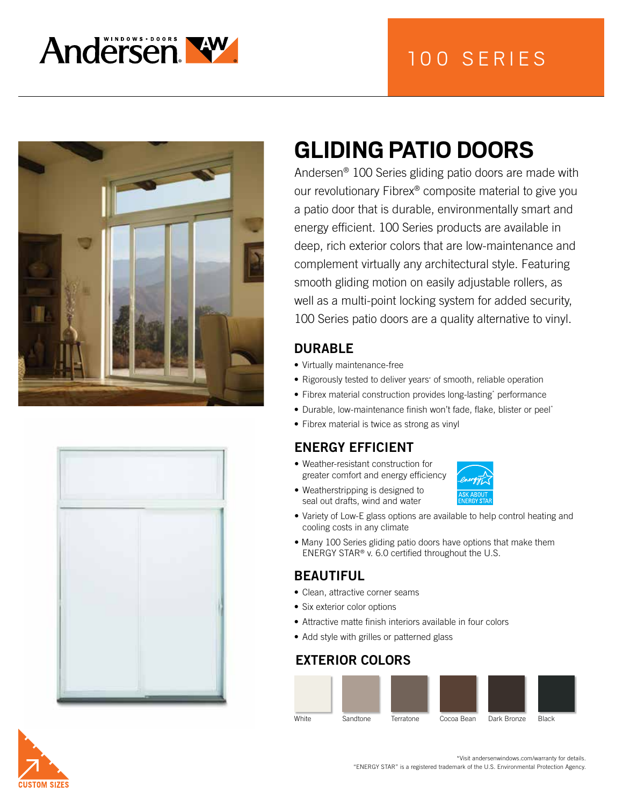







# **GLIDING PATIO DOORS**

Andersen® 100 Series gliding patio doors are made with our revolutionary Fibrex® composite material to give you a patio door that is durable, environmentally smart and energy efficient. 100 Series products are available in deep, rich exterior colors that are low-maintenance and complement virtually any architectural style. Featuring smooth gliding motion on easily adjustable rollers, as well as a multi-point locking system for added security, 100 Series patio doors are a quality alternative to vinyl.

## DURABLE

- Virtually maintenance-free
- Rigorously tested to deliver years\* of smooth, reliable operation
- Fibrex material construction provides long-lasting\* performance
- Durable, low-maintenance finish won't fade, flake, blister or peel\*
- Fibrex material is twice as strong as vinyl

## ENERGY EFFICIENT

• Weatherstripping is designed to seal out drafts, wind and water

• Weather-resistant construction for greater comfort and energy efficiency



- Variety of Low-E glass options are available to help control heating and cooling costs in any climate
- Many 100 Series gliding patio doors have options that make them ENERGY STAR® v. 6.0 certified throughout the U.S.

## BEAUTIFUL

- Clean, attractive corner seams
- Six exterior color options
- Attractive matte finish interiors available in four colors
- Add style with grilles or patterned glass

### EXTERIOR COLORS